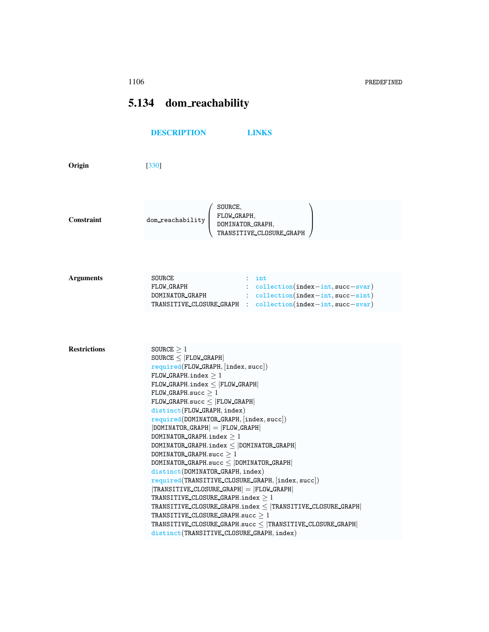## <span id="page-0-0"></span>5.134 dom\_reachability

|                     | <b>DESCRIPTION</b><br><b>LINKS</b>                                                                                                                                                                                                                                                                                                                                                                                                                                                                                                                                                                                                                                                                                                                                                                                                                                                                                                                        |
|---------------------|-----------------------------------------------------------------------------------------------------------------------------------------------------------------------------------------------------------------------------------------------------------------------------------------------------------------------------------------------------------------------------------------------------------------------------------------------------------------------------------------------------------------------------------------------------------------------------------------------------------------------------------------------------------------------------------------------------------------------------------------------------------------------------------------------------------------------------------------------------------------------------------------------------------------------------------------------------------|
| Origin              | $[330]$                                                                                                                                                                                                                                                                                                                                                                                                                                                                                                                                                                                                                                                                                                                                                                                                                                                                                                                                                   |
| Constraint          | SOURCE,<br>FLOW_GRAPH,<br>$dom\_reachability$<br>DOMINATOR_GRAPH,<br>TRANSITIVE_CLOSURE_GRAPH                                                                                                                                                                                                                                                                                                                                                                                                                                                                                                                                                                                                                                                                                                                                                                                                                                                             |
| <b>Arguments</b>    | <b>SOURCE</b><br>$:$ int<br>$:$ collection(index-int, succ-svar)<br>FLOW GRAPH<br>: collection(index-int, succ-sint)<br>DOMINATOR GRAPH<br>TRANSITIVE_CLOSURE_GRAPH : collection(index-int,succ-svar)                                                                                                                                                                                                                                                                                                                                                                                                                                                                                                                                                                                                                                                                                                                                                     |
|                     |                                                                                                                                                                                                                                                                                                                                                                                                                                                                                                                                                                                                                                                                                                                                                                                                                                                                                                                                                           |
| <b>Restrictions</b> | SOURCE $\geq 1$<br>$\texttt{SOURCE} \leq  \texttt{FLOW\_GRAPH} $<br>$required(FLOW_GRAPH, [index, succ])$<br>FLOW GRAPH.index $\geq 1$<br>FLOW GRAPH.index $\leq$ FLOW GRAPH<br>$FLOW_GRAPH.succ > 1$<br>$FLOW_GRAPH.succ \leq  FLOW_GRAPH $<br>$distinct(FLOW_CRAPH,index)$<br>required(DOMINATOR_GRAPH, [index, succ])<br>$ $ DOMINATOR_GRAPH $ $ = $ $ FLOW_GRAPH $ $<br>DOMINATOR_GRAPH.index $\geq 1$<br>$DOMINATOR_GRAPH.index \leq  DOMINATOR_GRAPH $<br>DOMINATOR GRAPH.succ $>1$<br>DOMINATOR_GRAPH.succ $\le$ DOMINATOR_GRAPH<br>distinct(DOMINATOR_GRAPH, index)<br>required(TRANSITIVE_CLOSURE_GRAPH, [index, succ])<br>$ TRANSITIVE\_CLOSURE\_GRAPH  =  FLOW_CRAPH $<br>TRANSITIVE CLOSURE GRAPH.index $\geq 1$<br>TRANSITIVE_CLOSURE_GRAPH.index $\leq$  TRANSITIVE_CLOSURE_GRAPH <br>TRANSITIVE_CLOSURE_GRAPH.succ $\geq 1$<br>TRANSITIVE_CLOSURE_GRAPH.succ $\leq$  TRANSITIVE_CLOSURE_GRAPH <br>distinct(TRANSITIVE_CLOSURE_GRAPH,index) |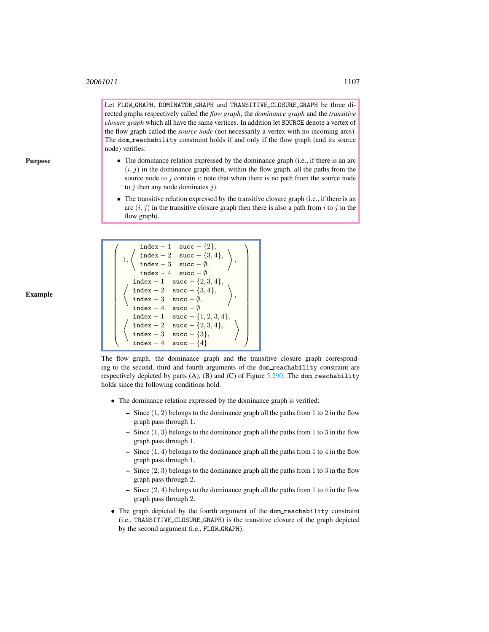Let FLOW GRAPH, DOMINATOR GRAPH and TRANSITIVE CLOSURE GRAPH be three directed graphs respectively called the *flow graph*, the *dominance graph* and the *transitive closure graph* which all have the same vertices. In addition let SOURCE denote a vertex of the flow graph called the *source node* (not necessarily a vertex with no incoming arcs). The dom\_reachability constraint holds if and only if the flow graph (and its source node) verifies:

- The dominance relation expressed by the dominance graph (i.e., if there is an arc  $(i, j)$  in the dominance graph then, within the flow graph, all the paths from the source node to  $j$  contain  $i$ ; note that when there is no path from the source node to  $j$  then any node dominates  $j$ ).
- The transitive relation expressed by the transitive closure graph (i.e., if there is an arc  $(i, j)$  in the transitive closure graph then there is also a path from i to j in the flow graph).



The flow graph, the dominance graph and the transitive closure graph corresponding to the second, third and fourth arguments of the dom reachability constraint are respectively depicted by parts  $(A)$ ,  $(B)$  and  $(C)$  of Figure [5.290.](#page-2-1) The dom reachability holds since the following conditions hold.

- The dominance relation expressed by the dominance graph is verified:
	- Since  $(1, 2)$  belongs to the dominance graph all the paths from 1 to 2 in the flow graph pass through 1.
	- Since  $(1, 3)$  belongs to the dominance graph all the paths from 1 to 3 in the flow graph pass through 1.
	- Since  $(1, 4)$  belongs to the dominance graph all the paths from 1 to 4 in the flow graph pass through 1.
	- Since  $(2, 3)$  belongs to the dominance graph all the paths from 1 to 3 in the flow graph pass through 2.
	- Since  $(2, 4)$  belongs to the dominance graph all the paths from 1 to 4 in the flow graph pass through 2.
- The graph depicted by the fourth argument of the dom reachability constraint (i.e., TRANSITIVE CLOSURE GRAPH) is the transitive closure of the graph depicted by the second argument (i.e., FLOW GRAPH).

Example

Purpose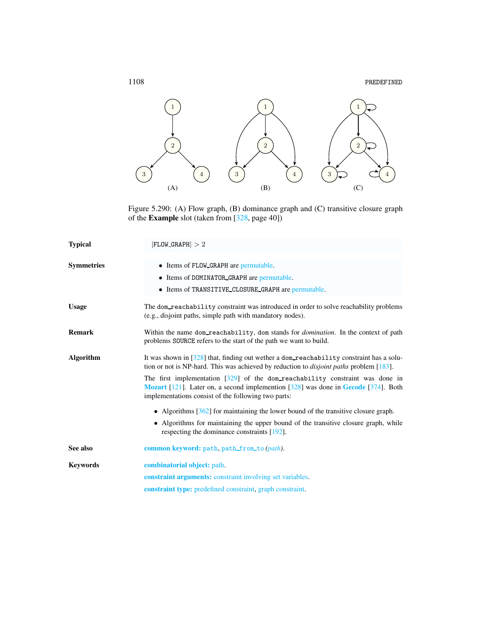

<span id="page-2-1"></span>Figure 5.290: (A) Flow graph, (B) dominance graph and (C) transitive closure graph of the Example slot (taken from [328, page 40])

<span id="page-2-0"></span>

| <b>Typical</b>    | $ FLOW_GRAPH  > 2$                                                                                                                                                                                                                       |
|-------------------|------------------------------------------------------------------------------------------------------------------------------------------------------------------------------------------------------------------------------------------|
| <b>Symmetries</b> | • Items of FLOW GRAPH are permutable.<br>• Items of DOMINATOR GRAPH are permutable.<br>• Items of TRANSITIVE CLOSURE GRAPH are permutable.                                                                                               |
| <b>Usage</b>      | The dom_reachability constraint was introduced in order to solve reachability problems<br>(e.g., disjoint paths, simple path with mandatory nodes).                                                                                      |
| <b>Remark</b>     | Within the name dom_reachability, dom stands for <i>domination</i> . In the context of path<br>problems SOURCE refers to the start of the path we want to build.                                                                         |
| <b>Algorithm</b>  | It was shown in $\lceil 328 \rceil$ that, finding out wether a dom-reachability constraint has a solu-<br>tion or not is NP-hard. This was achieved by reduction to <i>disjoint paths</i> problem [183].                                 |
|                   | The first implementation $\lceil 329 \rceil$ of the dom reachability constraint was done in<br>Mozart [121]. Later on, a second implemention [328] was done in Gecode [374]. Both<br>implementations consist of the following two parts: |
|                   | • Algorithms $[362]$ for maintaining the lower bound of the transitive closure graph.                                                                                                                                                    |
|                   | • Algorithms for maintaining the upper bound of the transitive closure graph, while<br>respecting the dominance constraints [192].                                                                                                       |
| See also          | common keyword: path, path_from_to(path).                                                                                                                                                                                                |
| <b>Keywords</b>   | combinatorial object: path.                                                                                                                                                                                                              |
|                   | constraint arguments: constraint involving set variables.                                                                                                                                                                                |
|                   | <b>constraint type:</b> predefined constraint, graph constraint.                                                                                                                                                                         |